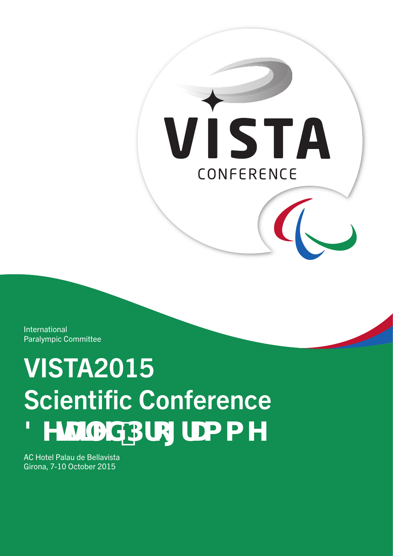

International Paralympic Committee

# VISTA2015 **Scientific Conference** 8YHJTYX'Dfc[fUa a Y

AC Hotel Palau de Bellavista Girona, 7-10 October 2015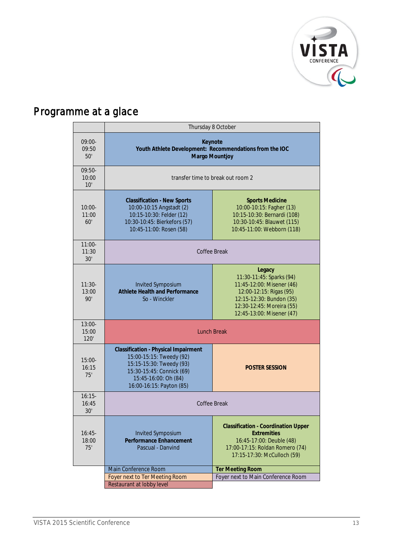

# Programme at a glace

|                           | Thursday 8 October                                                                                                                                                                   |                                                                                                                                                                                  |
|---------------------------|--------------------------------------------------------------------------------------------------------------------------------------------------------------------------------------|----------------------------------------------------------------------------------------------------------------------------------------------------------------------------------|
| $09:00-$<br>09:50<br>50'  | Keynote<br>Youth Athlete Development: Recommendations from the IOC<br><b>Margo Mountjoy</b>                                                                                          |                                                                                                                                                                                  |
| $09:50-$<br>10:00<br>10'  | transfer time to break out room 2                                                                                                                                                    |                                                                                                                                                                                  |
| $10:00 -$<br>11:00<br>60' | <b>Classification - New Sports</b><br>10:00-10:15 Angstadt (2)<br>10:15-10:30: Felder (12)<br>10:30-10:45: Bierkefors (57)<br>10:45-11:00: Rosen (58)                                | <b>Sports Medicine</b><br>10:00-10:15: Fagher (13)<br>10:15-10:30: Bernardi (108)<br>10:30-10:45: Blauwet (115)<br>10:45-11:00: Webborn (118)                                    |
| $11:00-$<br>11:30<br>30'  | Coffee Break                                                                                                                                                                         |                                                                                                                                                                                  |
| $11:30-$<br>13:00<br>90'  | <b>Invited Symposium</b><br><b>Athlete Health and Performance</b><br>So - Winckler                                                                                                   | Legacy<br>11:30-11:45: Sparks (94)<br>11:45-12:00: Misener (46)<br>12:00-12:15: Rigas (95)<br>12:15-12:30: Bundon (35)<br>12:30-12:45: Moreira (55)<br>12:45-13:00: Misener (47) |
| $13:00-$<br>15:00<br>120' | <b>Lunch Break</b>                                                                                                                                                                   |                                                                                                                                                                                  |
| $15:00-$<br>16:15<br>75'  | <b>Classification - Physical Impairment</b><br>15:00-15:15: Tweedy (92)<br>15:15-15:30: Tweedy (93)<br>15:30-15:45: Connick (69)<br>15:45-16:00: Oh (84)<br>16:00-16:15: Payton (85) | <b>POSTER SESSION</b>                                                                                                                                                            |
| $16:15-$<br>16:45<br>30'  | Coffee Break                                                                                                                                                                         |                                                                                                                                                                                  |
| $16:45-$<br>18:00<br>75'  | <b>Invited Symposium</b><br><b>Performance Enhancement</b><br>Pascual - Danvind                                                                                                      | <b>Classification - Coordination Upper</b><br><b>Extremities</b><br>16:45-17:00: Deuble (48)<br>17:00-17:15: Roldan Romero (74)<br>17:15-17:30: McCulloch (59)                   |
|                           | Main Conference Room                                                                                                                                                                 | <b>Ter Meeting Room</b>                                                                                                                                                          |
|                           | Foyer next to Ter Meeting Room<br>Restaurant at lobby level                                                                                                                          | Foyer next to Main Conference Room                                                                                                                                               |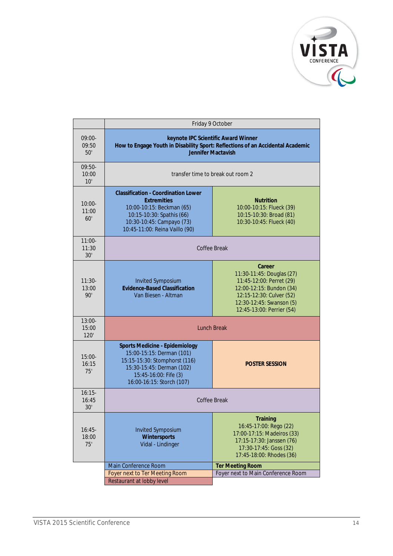

|                           | Friday 9 October                                                                                                                                                                          |                                                                                                                                                                                  |
|---------------------------|-------------------------------------------------------------------------------------------------------------------------------------------------------------------------------------------|----------------------------------------------------------------------------------------------------------------------------------------------------------------------------------|
| 09:00-<br>09:50<br>50'    | keynote IPC Scientific Award Winner<br>How to Engage Youth in Disability Sport: Reflections of an Accidental Academic<br><b>Jennifer Mactavish</b>                                        |                                                                                                                                                                                  |
| $09:50-$<br>10:00<br>10'  | transfer time to break out room 2                                                                                                                                                         |                                                                                                                                                                                  |
| $10:00-$<br>11:00<br>60'  | <b>Classification - Coordination Lower</b><br><b>Extremities</b><br>10:00-10:15: Beckman (65)<br>10:15-10:30: Spathis (66)<br>10:30-10:45: Campayo (73)<br>10:45-11:00: Reina Vaillo (90) | <b>Nutrition</b><br>10:00-10:15: Flueck (39)<br>10:15-10:30: Broad (81)<br>10:30-10:45: Flueck (40)                                                                              |
| $11:00-$<br>11:30<br>30'  |                                                                                                                                                                                           | Coffee Break                                                                                                                                                                     |
| $11:30-$<br>13:00<br>90'  | <b>Invited Symposium</b><br><b>Evidence-Based Classification</b><br>Van Biesen - Altman                                                                                                   | Career<br>11:30-11:45: Douglas (27)<br>11:45-12:00: Perret (29)<br>12:00-12:15: Bundon (34)<br>12:15-12:30: Culver (52)<br>12:30-12:45: Swanson (5)<br>12:45-13:00: Perrier (54) |
| $13:00-$<br>15:00<br>120' | <b>Lunch Break</b>                                                                                                                                                                        |                                                                                                                                                                                  |
| $15:00-$<br>16:15<br>75'  | <b>Sports Medicine - Epidemiology</b><br>15:00-15:15: Derman (101)<br>15:15-15:30: Stomphorst (116)<br>15:30-15:45: Derman (102)<br>15:45-16:00: Fife (3)<br>16:00-16:15: Storch (107)    | <b>POSTER SESSION</b>                                                                                                                                                            |
| $16:15-$<br>16:45<br>30'  | Coffee Break                                                                                                                                                                              |                                                                                                                                                                                  |
| $16:45-$<br>18:00<br>75'  | <b>Invited Symposium</b><br>Wintersports<br>Vidal - Lindinger                                                                                                                             | <b>Training</b><br>16:45-17:00: Rego (22)<br>17:00-17:15: Madeiros (33)<br>17:15-17:30: Janssen (76)<br>17:30-17:45: Goss (32)<br>17:45-18:00: Rhodes (36)                       |
|                           | Main Conference Room                                                                                                                                                                      | <b>Ter Meeting Room</b>                                                                                                                                                          |
|                           | Foyer next to Ter Meeting Room<br>Restaurant at lobby level                                                                                                                               | Foyer next to Main Conference Room                                                                                                                                               |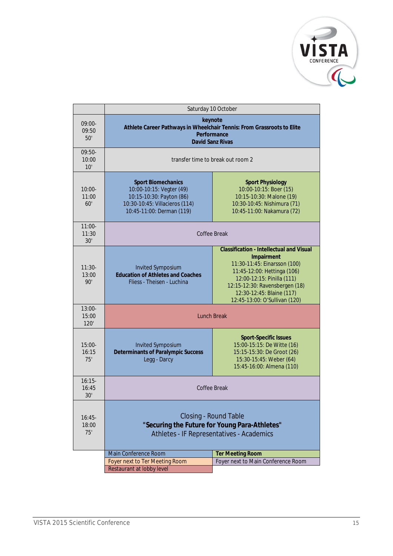

|                           | Saturday 10 October                                                                                                                              |                                                                                                                                                                                                                                                            |
|---------------------------|--------------------------------------------------------------------------------------------------------------------------------------------------|------------------------------------------------------------------------------------------------------------------------------------------------------------------------------------------------------------------------------------------------------------|
| 09:00-<br>09:50<br>50'    | keynote<br>Athlete Career Pathways in Wheelchair Tennis: From Grassroots to Elite<br>Performance<br><b>David Sanz Rivas</b>                      |                                                                                                                                                                                                                                                            |
| $09:50-$<br>10:00<br>10'  | transfer time to break out room 2                                                                                                                |                                                                                                                                                                                                                                                            |
| $10:00 -$<br>11:00<br>60' | <b>Sport Biomechanics</b><br>10:00-10:15: Vegter (49)<br>10:15-10:30: Payton (86)<br>10:30-10:45: Villacieros (114)<br>10:45-11:00: Derman (119) | <b>Sport Physiology</b><br>10:00-10:15: Boer (15)<br>10:15-10:30: Malone (19)<br>10:30-10:45: Nishimura (71)<br>10:45-11:00: Nakamura (72)                                                                                                                 |
| $11:00-$<br>11:30<br>30'  | Coffee Break                                                                                                                                     |                                                                                                                                                                                                                                                            |
| $11:30-$<br>13:00<br>90'  | <b>Invited Symposium</b><br><b>Education of Athletes and Coaches</b><br>Fliess - Theisen - Luchina                                               | <b>Classification - Intellectual and Visual</b><br>Impairment<br>11:30-11:45: Einarsson (100)<br>11:45-12:00: Hettinga (106)<br>12:00-12:15: Pinilla (111)<br>12:15-12:30: Ravensbergen (18)<br>12:30-12:45: Blaine (117)<br>12:45-13:00: O'Sullivan (120) |
| $13:00-$<br>15:00<br>120' | <b>Lunch Break</b>                                                                                                                               |                                                                                                                                                                                                                                                            |
| $15:00-$<br>16:15<br>7.5' | <b>Invited Symposium</b><br><b>Determinants of Paralympic Success</b><br>Legg - Darcy                                                            | <b>Sport-Specific Issues</b><br>15:00-15:15: De Witte (16)<br>15:15-15:30: De Groot (26)<br>15:30-15:45: Weber (64)<br>15:45-16:00: Almena (110)                                                                                                           |
| $16:15-$<br>16:45<br>30'  | Coffee Break                                                                                                                                     |                                                                                                                                                                                                                                                            |
| $16:45-$<br>18:00<br>75'  | Closing - Round Table<br>"Securing the Future for Young Para-Athletes"<br>Athletes - IF Representatives - Academics                              |                                                                                                                                                                                                                                                            |
|                           | Main Conference Room                                                                                                                             | <b>Ter Meeting Room</b>                                                                                                                                                                                                                                    |
|                           | Foyer next to Ter Meeting Room<br>Restaurant at lobby level                                                                                      | Foyer next to Main Conference Room                                                                                                                                                                                                                         |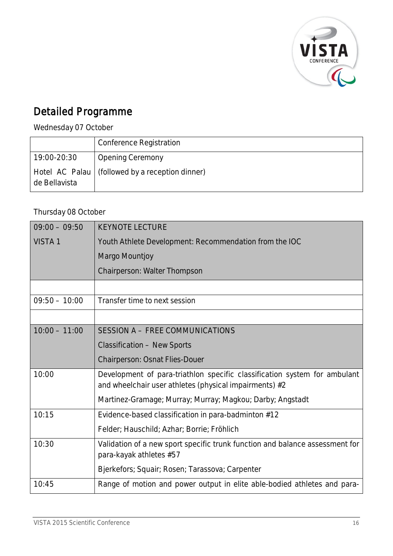

## Detailed Programme

Wednesday 07 October

|               | <b>Conference Registration</b>                    |
|---------------|---------------------------------------------------|
| 19:00-20:30   | <b>Opening Ceremony</b>                           |
| de Bellavista | Hotel AC Palau   (followed by a reception dinner) |

#### Thursday 08 October

| $09:00 - 09:50$    | <b>KEYNOTE LECTURE</b>                                                                                                              |
|--------------------|-------------------------------------------------------------------------------------------------------------------------------------|
| VISTA <sub>1</sub> | Youth Athlete Development: Recommendation from the IOC                                                                              |
|                    | Margo Mountjoy                                                                                                                      |
|                    | Chairperson: Walter Thompson                                                                                                        |
|                    |                                                                                                                                     |
| $09:50 - 10:00$    | Transfer time to next session                                                                                                       |
|                    |                                                                                                                                     |
| $10:00 - 11:00$    | SESSION A - FREE COMMUNICATIONS                                                                                                     |
|                    | <b>Classification - New Sports</b>                                                                                                  |
|                    | Chairperson: Osnat Flies-Douer                                                                                                      |
| 10:00              | Development of para-triathlon specific classification system for ambulant<br>and wheelchair user athletes (physical impairments) #2 |
|                    | Martinez-Gramage; Murray; Murray; Magkou; Darby; Angstadt                                                                           |
| 10:15              | Evidence-based classification in para-badminton #12                                                                                 |
|                    | Felder; Hauschild; Azhar; Borrie; Fröhlich                                                                                          |
| 10:30              | Validation of a new sport specific trunk function and balance assessment for<br>para-kayak athletes #57                             |
|                    | Bjerkefors; Squair; Rosen; Tarassova; Carpenter                                                                                     |
| 10:45              | Range of motion and power output in elite able-bodied athletes and para-                                                            |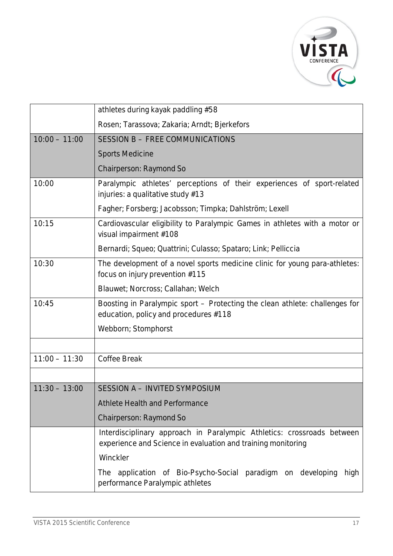

|                 | athletes during kayak paddling #58                                                                                                     |
|-----------------|----------------------------------------------------------------------------------------------------------------------------------------|
|                 | Rosen; Tarassova; Zakaria; Arndt; Bjerkefors                                                                                           |
| $10:00 - 11:00$ | SESSION B - FREE COMMUNICATIONS                                                                                                        |
|                 | <b>Sports Medicine</b>                                                                                                                 |
|                 | Chairperson: Raymond So                                                                                                                |
| 10:00           | Paralympic athletes' perceptions of their experiences of sport-related<br>injuries: a qualitative study #13                            |
|                 | Fagher; Forsberg; Jacobsson; Timpka; Dahlström; Lexell                                                                                 |
| 10:15           | Cardiovascular eligibility to Paralympic Games in athletes with a motor or<br>visual impairment #108                                   |
|                 | Bernardi; Squeo; Quattrini; Culasso; Spataro; Link; Pelliccia                                                                          |
| 10:30           | The development of a novel sports medicine clinic for young para-athletes:<br>focus on injury prevention #115                          |
|                 | Blauwet; Norcross; Callahan; Welch                                                                                                     |
| 10:45           | Boosting in Paralympic sport – Protecting the clean athlete: challenges for<br>education, policy and procedures #118                   |
|                 | Webborn; Stomphorst                                                                                                                    |
|                 |                                                                                                                                        |
| $11:00 - 11:30$ | <b>Coffee Break</b>                                                                                                                    |
|                 |                                                                                                                                        |
| $11:30 - 13:00$ | SESSION A - INVITED SYMPOSIUM                                                                                                          |
|                 | <b>Athlete Health and Performance</b>                                                                                                  |
|                 | Chairperson: Raymond So                                                                                                                |
|                 | Interdisciplinary approach in Paralympic Athletics: crossroads between<br>experience and Science in evaluation and training monitoring |
|                 | Winckler                                                                                                                               |
|                 | The application of Bio-Psycho-Social paradigm on developing<br>high<br>performance Paralympic athletes                                 |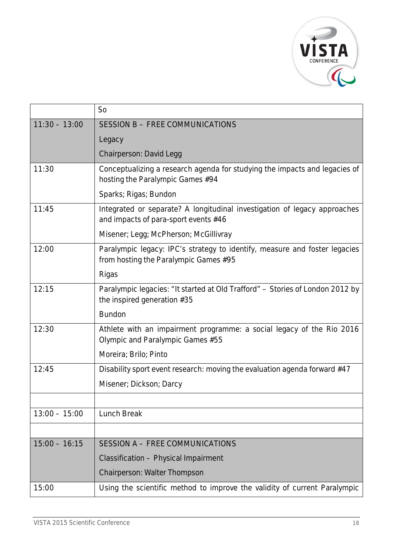

|                 | S <sub>o</sub>                                                                                                      |
|-----------------|---------------------------------------------------------------------------------------------------------------------|
| $11:30 - 13:00$ | SESSION B - FREE COMMUNICATIONS                                                                                     |
|                 | Legacy                                                                                                              |
|                 | Chairperson: David Legg                                                                                             |
| 11:30           | Conceptualizing a research agenda for studying the impacts and legacies of<br>hosting the Paralympic Games #94      |
|                 | Sparks; Rigas; Bundon                                                                                               |
| 11:45           | Integrated or separate? A longitudinal investigation of legacy approaches<br>and impacts of para-sport events #46   |
|                 | Misener; Legg; McPherson; McGillivray                                                                               |
| 12:00           | Paralympic legacy: IPC's strategy to identify, measure and foster legacies<br>from hosting the Paralympic Games #95 |
|                 | Rigas                                                                                                               |
| 12:15           | Paralympic legacies: "It started at Old Trafford" - Stories of London 2012 by<br>the inspired generation #35        |
|                 | <b>Bundon</b>                                                                                                       |
| 12:30           | Athlete with an impairment programme: a social legacy of the Rio 2016<br>Olympic and Paralympic Games #55           |
|                 | Moreira; Brilo; Pinto                                                                                               |
| 12:45           | Disability sport event research: moving the evaluation agenda forward #47                                           |
|                 | Misener; Dickson; Darcy                                                                                             |
|                 |                                                                                                                     |
| $13:00 - 15:00$ | <b>Lunch Break</b>                                                                                                  |
|                 |                                                                                                                     |
| $15:00 - 16:15$ | SESSION A - FREE COMMUNICATIONS                                                                                     |
|                 | Classification - Physical Impairment                                                                                |
|                 | Chairperson: Walter Thompson                                                                                        |
| 15:00           | Using the scientific method to improve the validity of current Paralympic                                           |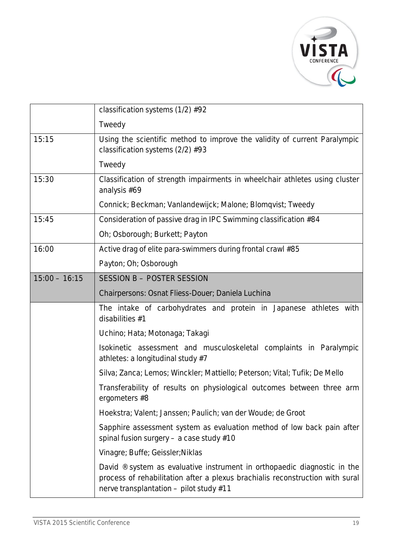

|                 | classification systems (1/2) #92                                                                                                                                                                                 |
|-----------------|------------------------------------------------------------------------------------------------------------------------------------------------------------------------------------------------------------------|
|                 | Tweedy                                                                                                                                                                                                           |
| 15:15           | Using the scientific method to improve the validity of current Paralympic<br>classification systems (2/2) #93                                                                                                    |
|                 | Tweedy                                                                                                                                                                                                           |
| 15:30           | Classification of strength impairments in wheelchair athletes using cluster<br>analysis #69                                                                                                                      |
|                 | Connick; Beckman; Vanlandewijck; Malone; Blomqvist; Tweedy                                                                                                                                                       |
| 15:45           | Consideration of passive drag in IPC Swimming classification #84                                                                                                                                                 |
|                 | Oh; Osborough; Burkett; Payton                                                                                                                                                                                   |
| 16:00           | Active drag of elite para-swimmers during frontal crawl #85                                                                                                                                                      |
|                 | Payton; Oh; Osborough                                                                                                                                                                                            |
| $15:00 - 16:15$ | SESSION B - POSTER SESSION                                                                                                                                                                                       |
|                 | Chairpersons: Osnat Fliess-Douer; Daniela Luchina                                                                                                                                                                |
|                 | The intake of carbohydrates and protein in Japanese athletes with<br>disabilities #1                                                                                                                             |
|                 | Uchino; Hata; Motonaga; Takagi                                                                                                                                                                                   |
|                 | Isokinetic assessment and musculoskeletal complaints in Paralympic<br>athletes: a longitudinal study #7                                                                                                          |
|                 | Silva; Zanca; Lemos; Winckler; Mattiello; Peterson; Vital; Tufik; De Mello                                                                                                                                       |
|                 | Transferability of results on physiological outcomes between three arm<br>ergometers #8                                                                                                                          |
|                 | Hoekstra; Valent; Janssen; Paulich; van der Woude; de Groot                                                                                                                                                      |
|                 | Sapphire assessment system as evaluation method of low back pain after<br>spinal fusion surgery - a case study #10                                                                                               |
|                 | Vinagre; Buffe; Geissler; Niklas                                                                                                                                                                                 |
|                 | David $\mathcal{O}$ system as evaluative instrument in orthopaedic diagnostic in the<br>process of rehabilitation after a plexus brachialis reconstruction with sural<br>nerve transplantation - pilot study #11 |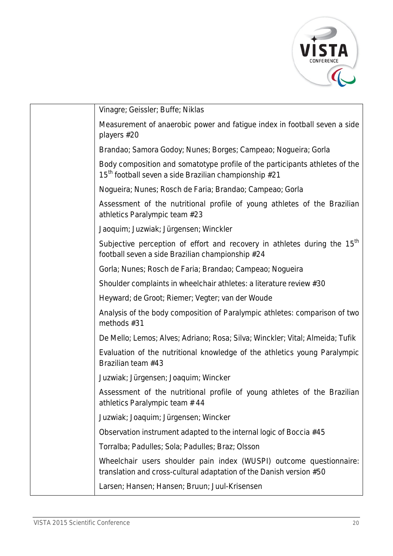

| Vinagre; Geissler; Buffe; Niklas                                                                                                                 |
|--------------------------------------------------------------------------------------------------------------------------------------------------|
| Measurement of anaerobic power and fatigue index in football seven a side<br>players #20                                                         |
| Brandao; Samora Godoy; Nunes; Borges; Campeao; Nogueira; Gorla                                                                                   |
| Body composition and somatotype profile of the participants athletes of the<br>15 <sup>th</sup> football seven a side Brazilian championship #21 |
| Nogueira; Nunes; Rosch de Faria; Brandao; Campeao; Gorla                                                                                         |
| Assessment of the nutritional profile of young athletes of the Brazilian<br>athletics Paralympic team #23                                        |
| Jaoquim; Juzwiak; Jürgensen; Winckler                                                                                                            |
| Subjective perception of effort and recovery in athletes during the 15 <sup>th</sup><br>football seven a side Brazilian championship #24         |
| Gorla; Nunes; Rosch de Faria; Brandao; Campeao; Nogueira                                                                                         |
| Shoulder complaints in wheelchair athletes: a literature review #30                                                                              |
| Heyward; de Groot; Riemer; Vegter; van der Woude                                                                                                 |
| Analysis of the body composition of Paralympic athletes: comparison of two<br>methods #31                                                        |
| De Mello; Lemos; Alves; Adriano; Rosa; Silva; Winckler; Vital; Almeida; Tufik                                                                    |
| Evaluation of the nutritional knowledge of the athletics young Paralympic<br>Brazilian team #43                                                  |
| Juzwiak; Jürgensen; Joaquim; Wincker                                                                                                             |
| Assessment of the nutritional profile of young athletes of the Brazilian<br>athletics Paralympic team #44                                        |
| Juzwiak; Joaquim; Jürgensen; Wincker                                                                                                             |
| Observation instrument adapted to the internal logic of Boccia #45                                                                               |
| Torralba; Padulles; Sola; Padulles; Braz; Olsson                                                                                                 |
| Wheelchair users shoulder pain index (WUSPI) outcome questionnaire:<br>translation and cross-cultural adaptation of the Danish version #50       |
| Larsen; Hansen; Hansen; Bruun; Juul-Krisensen                                                                                                    |
|                                                                                                                                                  |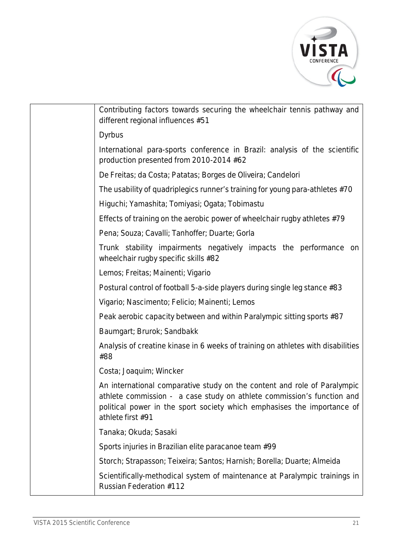

| Contributing factors towards securing the wheelchair tennis pathway and<br>different regional influences #51                                                                                                                                       |
|----------------------------------------------------------------------------------------------------------------------------------------------------------------------------------------------------------------------------------------------------|
| <b>Dyrbus</b>                                                                                                                                                                                                                                      |
| International para-sports conference in Brazil: analysis of the scientific<br>production presented from 2010-2014 #62                                                                                                                              |
| De Freitas; da Costa; Patatas; Borges de Oliveira; Candelori                                                                                                                                                                                       |
| The usability of quadriplegics runner's training for young para-athletes #70                                                                                                                                                                       |
| Higuchi; Yamashita; Tomiyasi; Ogata; Tobimastu                                                                                                                                                                                                     |
| Effects of training on the aerobic power of wheelchair rugby athletes #79                                                                                                                                                                          |
| Pena; Souza; Cavalli; Tanhoffer; Duarte; Gorla                                                                                                                                                                                                     |
| Trunk stability impairments negatively impacts the performance on<br>wheelchair rugby specific skills #82                                                                                                                                          |
| Lemos; Freitas; Mainenti; Vigario                                                                                                                                                                                                                  |
| Postural control of football 5-a-side players during single leg stance #83                                                                                                                                                                         |
| Vigario; Nascimento; Felicio; Mainenti; Lemos                                                                                                                                                                                                      |
| Peak aerobic capacity between and within Paralympic sitting sports #87                                                                                                                                                                             |
| Baumgart; Brurok; Sandbakk                                                                                                                                                                                                                         |
| Analysis of creatine kinase in 6 weeks of training on athletes with disabilities<br>#88                                                                                                                                                            |
| Costa; Joaquim; Wincker                                                                                                                                                                                                                            |
| An international comparative study on the content and role of Paralympic<br>athlete commission - a case study on athlete commission's function and<br>political power in the sport society which emphasises the importance of<br>athlete first #91 |
| Tanaka; Okuda; Sasaki                                                                                                                                                                                                                              |
| Sports injuries in Brazilian elite paracanoe team #99                                                                                                                                                                                              |
| Storch; Strapasson; Teixeira; Santos; Harnish; Borella; Duarte; Almeida                                                                                                                                                                            |
| Scientifically-methodical system of maintenance at Paralympic trainings in<br><b>Russian Federation #112</b>                                                                                                                                       |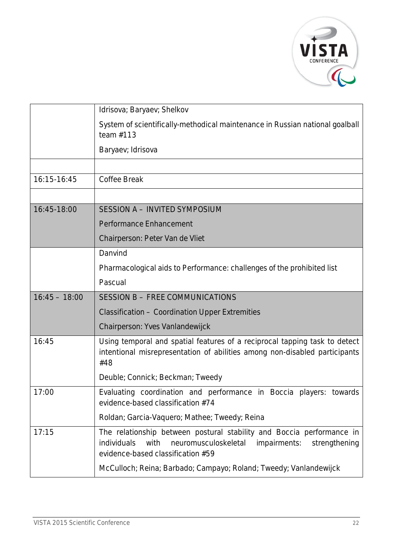

|                 | Idrisova; Baryaev; Shelkov                                                                                                                                                                 |
|-----------------|--------------------------------------------------------------------------------------------------------------------------------------------------------------------------------------------|
|                 | System of scientifically-methodical maintenance in Russian national goalball<br>team $#113$                                                                                                |
|                 | Baryaev; Idrisova                                                                                                                                                                          |
|                 |                                                                                                                                                                                            |
| 16:15-16:45     | <b>Coffee Break</b>                                                                                                                                                                        |
|                 |                                                                                                                                                                                            |
| 16:45-18:00     | <b>SESSION A - INVITED SYMPOSIUM</b>                                                                                                                                                       |
|                 | Performance Enhancement                                                                                                                                                                    |
|                 | Chairperson: Peter Van de Vliet                                                                                                                                                            |
|                 | Danvind                                                                                                                                                                                    |
|                 | Pharmacological aids to Performance: challenges of the prohibited list                                                                                                                     |
|                 | Pascual                                                                                                                                                                                    |
| $16:45 - 18:00$ | SESSION B - FREE COMMUNICATIONS                                                                                                                                                            |
|                 | Classification - Coordination Upper Extremities                                                                                                                                            |
|                 | Chairperson: Yves Vanlandewijck                                                                                                                                                            |
| 16:45           | Using temporal and spatial features of a reciprocal tapping task to detect<br>intentional misrepresentation of abilities among non-disabled participants<br>#48                            |
|                 | Deuble; Connick; Beckman; Tweedy                                                                                                                                                           |
| 17:00           | Evaluating coordination and performance in Boccia players: towards<br>evidence-based classification #74                                                                                    |
|                 | Roldan; Garcia-Vaquero; Mathee; Tweedy; Reina                                                                                                                                              |
| 17:15           | The relationship between postural stability and Boccia performance in<br>individuals<br>with<br>neuromusculoskeletal<br>impairments:<br>strengthening<br>evidence-based classification #59 |
|                 | McCulloch; Reina; Barbado; Campayo; Roland; Tweedy; Vanlandewijck                                                                                                                          |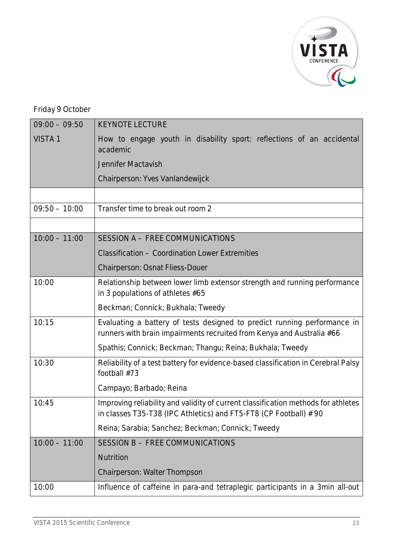

## Friday 9 October

| $09:00 - 09:50$ | <b>KEYNOTE LECTURE</b>                                                                                                                                 |  |
|-----------------|--------------------------------------------------------------------------------------------------------------------------------------------------------|--|
| <b>VISTA1</b>   | How to engage youth in disability sport: reflections of an accidental<br>academic                                                                      |  |
|                 | Jennifer Mactavish                                                                                                                                     |  |
|                 | Chairperson: Yves Vanlandewijck                                                                                                                        |  |
|                 |                                                                                                                                                        |  |
| $09:50 - 10:00$ | Transfer time to break out room 2                                                                                                                      |  |
|                 |                                                                                                                                                        |  |
| $10:00 - 11:00$ | SESSION A - FREE COMMUNICATIONS                                                                                                                        |  |
|                 | <b>Classification - Coordination Lower Extremities</b>                                                                                                 |  |
|                 | Chairperson: Osnat Fliess-Douer                                                                                                                        |  |
| 10:00           | Relationship between lower limb extensor strength and running performance<br>in 3 populations of athletes #65                                          |  |
|                 | Beckman; Connick; Bukhala; Tweedy                                                                                                                      |  |
| 10:15           | Evaluating a battery of tests designed to predict running performance in<br>runners with brain impairments recruited from Kenya and Australia #66      |  |
|                 | Spathis; Connick; Beckman; Thangu; Reina; Bukhala; Tweedy                                                                                              |  |
| 10:30           | Reliability of a test battery for evidence-based classification in Cerebral Palsy<br>football #73                                                      |  |
|                 | Campayo; Barbado; Reina                                                                                                                                |  |
| 10:45           | Improving reliability and validity of current classification methods for athletes<br>in classes T35-T38 (IPC Athletics) and FT5-FT8 (CP Football) # 90 |  |
|                 | Reina; Sarabia; Sanchez; Beckman; Connick; Tweedy                                                                                                      |  |
| $10:00 - 11:00$ | SESSION B - FREE COMMUNICATIONS                                                                                                                        |  |
|                 | Nutrition                                                                                                                                              |  |
|                 | Chairperson: Walter Thompson                                                                                                                           |  |
| 10:00           | Influence of caffeine in para-and tetraplegic participants in a 3min all-out                                                                           |  |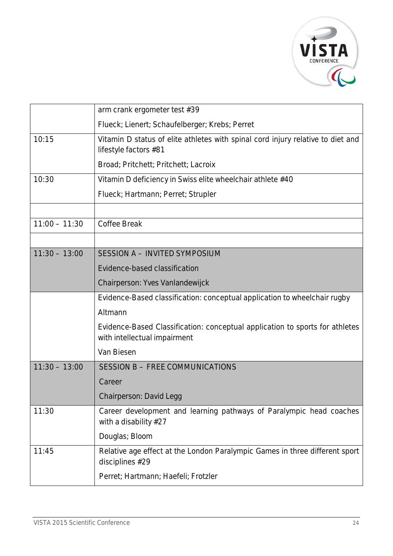

|                 | arm crank ergometer test #39                                                                                 |
|-----------------|--------------------------------------------------------------------------------------------------------------|
|                 | Flueck; Lienert; Schaufelberger; Krebs; Perret                                                               |
| 10:15           | Vitamin D status of elite athletes with spinal cord injury relative to diet and<br>lifestyle factors #81     |
|                 | Broad; Pritchett; Pritchett; Lacroix                                                                         |
| 10:30           | Vitamin D deficiency in Swiss elite wheelchair athlete #40                                                   |
|                 | Flueck; Hartmann; Perret; Strupler                                                                           |
|                 |                                                                                                              |
| $11:00 - 11:30$ | <b>Coffee Break</b>                                                                                          |
|                 |                                                                                                              |
| $11:30 - 13:00$ | SESSION A - INVITED SYMPOSIUM                                                                                |
|                 | Evidence-based classification                                                                                |
|                 | Chairperson: Yves Vanlandewijck                                                                              |
|                 | Evidence-Based classification: conceptual application to wheelchair rugby                                    |
|                 | Altmann                                                                                                      |
|                 | Evidence-Based Classification: conceptual application to sports for athletes<br>with intellectual impairment |
|                 | Van Biesen                                                                                                   |
| $11:30 - 13:00$ | SESSION B - FREE COMMUNICATIONS                                                                              |
|                 | Career                                                                                                       |
|                 | Chairperson: David Legg                                                                                      |
| 11:30           | Career development and learning pathways of Paralympic head coaches<br>with a disability #27                 |
|                 | Douglas; Bloom                                                                                               |
| 11:45           | Relative age effect at the London Paralympic Games in three different sport<br>disciplines #29               |
|                 | Perret; Hartmann; Haefeli; Frotzler                                                                          |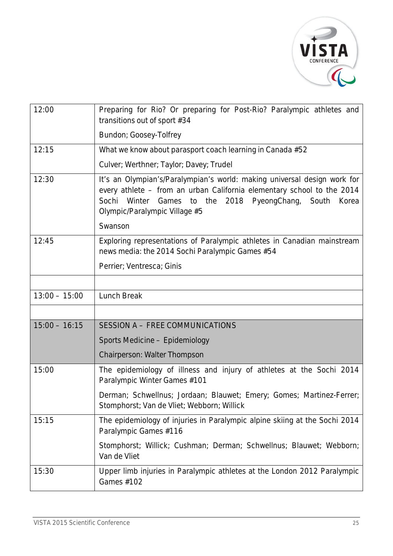

| 12:00           | Preparing for Rio? Or preparing for Post-Rio? Paralympic athletes and<br>transitions out of sport #34                                                                                                                                                |
|-----------------|------------------------------------------------------------------------------------------------------------------------------------------------------------------------------------------------------------------------------------------------------|
|                 | Bundon; Goosey-Tolfrey                                                                                                                                                                                                                               |
| 12:15           | What we know about parasport coach learning in Canada #52                                                                                                                                                                                            |
|                 | Culver; Werthner; Taylor; Davey; Trudel                                                                                                                                                                                                              |
| 12:30           | It's an Olympian's/Paralympian's world: making universal design work for<br>every athlete - from an urban California elementary school to the 2014<br>Winter Games to the 2018 PyeongChang, South<br>Sochi<br>Korea<br>Olympic/Paralympic Village #5 |
|                 | Swanson                                                                                                                                                                                                                                              |
| 12:45           | Exploring representations of Paralympic athletes in Canadian mainstream<br>news media: the 2014 Sochi Paralympic Games #54                                                                                                                           |
|                 | Perrier; Ventresca; Ginis                                                                                                                                                                                                                            |
|                 |                                                                                                                                                                                                                                                      |
| $13:00 - 15:00$ | Lunch Break                                                                                                                                                                                                                                          |
|                 |                                                                                                                                                                                                                                                      |
| $15:00 - 16:15$ | SESSION A - FREE COMMUNICATIONS                                                                                                                                                                                                                      |
|                 | Sports Medicine - Epidemiology                                                                                                                                                                                                                       |
|                 | Chairperson: Walter Thompson                                                                                                                                                                                                                         |
| 15:00           | The epidemiology of illness and injury of athletes at the Sochi 2014<br>Paralympic Winter Games #101                                                                                                                                                 |
|                 | Derman; Schwellnus; Jordaan; Blauwet; Emery; Gomes; Martinez-Ferrer;<br>Stomphorst; Van de Vliet; Webborn; Willick                                                                                                                                   |
| 15:15           | The epidemiology of injuries in Paralympic alpine skiing at the Sochi 2014<br>Paralympic Games #116                                                                                                                                                  |
|                 | Stomphorst; Willick; Cushman; Derman; Schwellnus; Blauwet; Webborn;<br>Van de Vliet                                                                                                                                                                  |
| 15:30           | Upper limb injuries in Paralympic athletes at the London 2012 Paralympic<br>Games #102                                                                                                                                                               |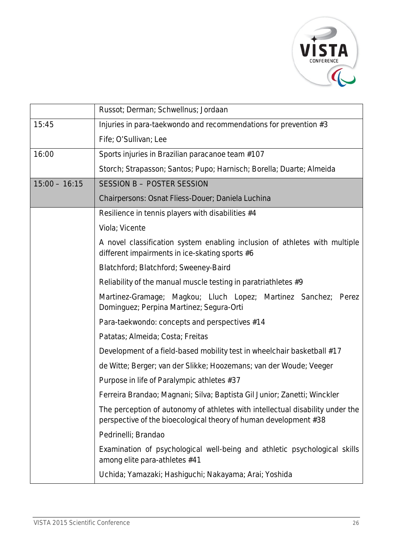

|                 | Russot; Derman; Schwellnus; Jordaan                                                                                                               |
|-----------------|---------------------------------------------------------------------------------------------------------------------------------------------------|
| 15:45           | Injuries in para-taekwondo and recommendations for prevention #3                                                                                  |
|                 | Fife; O'Sullivan; Lee                                                                                                                             |
| 16:00           | Sports injuries in Brazilian paracanoe team #107                                                                                                  |
|                 | Storch; Strapasson; Santos; Pupo; Harnisch; Borella; Duarte; Almeida                                                                              |
| $15:00 - 16:15$ | SESSION B - POSTER SESSION                                                                                                                        |
|                 | Chairpersons: Osnat Fliess-Douer; Daniela Luchina                                                                                                 |
|                 | Resilience in tennis players with disabilities #4                                                                                                 |
|                 | Viola; Vicente                                                                                                                                    |
|                 | A novel classification system enabling inclusion of athletes with multiple<br>different impairments in ice-skating sports #6                      |
|                 | Blatchford; Blatchford; Sweeney-Baird                                                                                                             |
|                 | Reliability of the manual muscle testing in paratriathletes $#9$                                                                                  |
|                 | Martinez-Gramage; Magkou; Lluch Lopez; Martinez Sanchez; Perez<br>Dominguez; Perpina Martinez; Segura-Orti                                        |
|                 | Para-taekwondo: concepts and perspectives #14                                                                                                     |
|                 | Patatas; Almeida; Costa; Freitas                                                                                                                  |
|                 | Development of a field-based mobility test in wheelchair basketball #17                                                                           |
|                 | de Witte; Berger; van der Slikke; Hoozemans; van der Woude; Veeger                                                                                |
|                 | Purpose in life of Paralympic athletes #37                                                                                                        |
|                 | Ferreira Brandao; Magnani; Silva; Baptista Gil Junior; Zanetti; Winckler                                                                          |
|                 | The perception of autonomy of athletes with intellectual disability under the<br>perspective of the bioecological theory of human development #38 |
|                 | Pedrinelli; Brandao                                                                                                                               |
|                 | Examination of psychological well-being and athletic psychological skills<br>among elite para-athletes #41                                        |
|                 | Uchida; Yamazaki; Hashiguchi; Nakayama; Arai; Yoshida                                                                                             |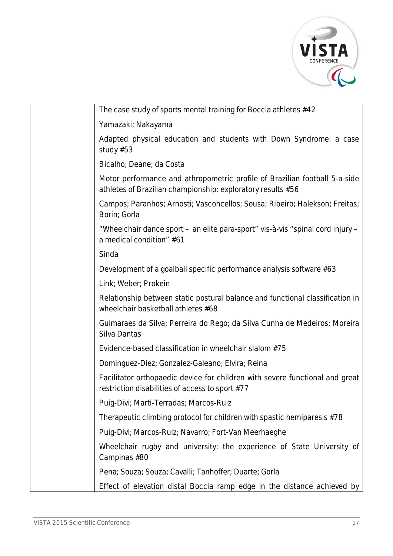

| The case study of sports mental training for Boccia athletes #42                                                                          |
|-------------------------------------------------------------------------------------------------------------------------------------------|
| Yamazaki; Nakayama                                                                                                                        |
| Adapted physical education and students with Down Syndrome: a case<br>study $#53$                                                         |
| Bicalho; Deane; da Costa                                                                                                                  |
| Motor performance and athropometric profile of Brazilian football 5-a-side<br>athletes of Brazilian championship: exploratory results #56 |
| Campos; Paranhos; Arnosti; Vasconcellos; Sousa; Ribeiro; Halekson; Freitas;<br>Borin; Gorla                                               |
| "Wheelchair dance sport - an elite para-sport" vis-à-vis "spinal cord injury -<br>a medical condition" #61                                |
| Sinda                                                                                                                                     |
| Development of a goalball specific performance analysis software #63                                                                      |
| Link; Weber; Prokein                                                                                                                      |
| Relationship between static postural balance and functional classification in<br>wheelchair basketball athletes #68                       |
| Guimaraes da Silva; Perreira do Rego; da Silva Cunha de Medeiros; Moreira<br>Silva Dantas                                                 |
| Evidence-based classification in wheelchair slalom #75                                                                                    |
| Dominguez-Diez; Gonzalez-Galeano; Elvira; Reina                                                                                           |
| Facilitator orthopaedic device for children with severe functional and great<br>restriction disabilities of access to sport #77           |
| Puig-Divi; Marti-Terradas; Marcos-Ruiz                                                                                                    |
| Therapeutic climbing protocol for children with spastic hemiparesis #78                                                                   |
| Puig-Divi; Marcos-Ruiz; Navarro; Fort-Van Meerhaeghe                                                                                      |
| Wheelchair rugby and university: the experience of State University of<br>Campinas #80                                                    |
| Pena; Souza; Souza; Cavalli; Tanhoffer; Duarte; Gorla                                                                                     |
| Effect of elevation distal Boccia ramp edge in the distance achieved by                                                                   |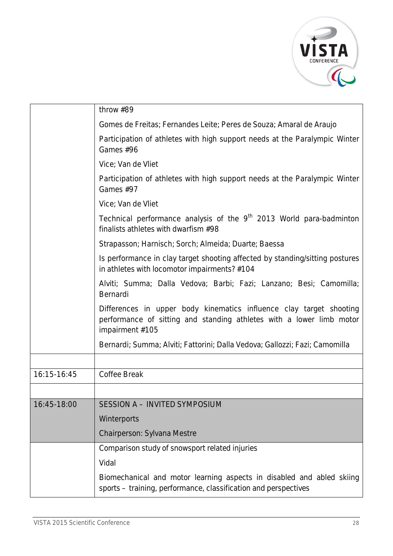

|             | throw #89                                                                                                                                                      |
|-------------|----------------------------------------------------------------------------------------------------------------------------------------------------------------|
|             | Gomes de Freitas; Fernandes Leite; Peres de Souza; Amaral de Araujo                                                                                            |
|             | Participation of athletes with high support needs at the Paralympic Winter<br>Games #96                                                                        |
|             | Vice; Van de Vliet                                                                                                                                             |
|             | Participation of athletes with high support needs at the Paralympic Winter<br>Games #97                                                                        |
|             | Vice; Van de Vliet                                                                                                                                             |
|             | Technical performance analysis of the 9 <sup>th</sup> 2013 World para-badminton<br>finalists athletes with dwarfism #98                                        |
|             | Strapasson; Harnisch; Sorch; Almeida; Duarte; Baessa                                                                                                           |
|             | Is performance in clay target shooting affected by standing/sitting postures<br>in athletes with locomotor impairments? #104                                   |
|             | Alviti; Summa; Dalla Vedova; Barbi; Fazi; Lanzano; Besi; Camomilla;<br>Bernardi                                                                                |
|             | Differences in upper body kinematics influence clay target shooting<br>performance of sitting and standing athletes with a lower limb motor<br>impairment #105 |
|             | Bernardi; Summa; Alviti; Fattorini; Dalla Vedova; Gallozzi; Fazi; Camomilla                                                                                    |
|             |                                                                                                                                                                |
| 16:15-16:45 | Coffee Break                                                                                                                                                   |
|             |                                                                                                                                                                |
| 16:45-18:00 | SESSION A - INVITED SYMPOSIUM                                                                                                                                  |
|             | Winterports                                                                                                                                                    |
|             | Chairperson: Sylvana Mestre                                                                                                                                    |
|             | Comparison study of snowsport related injuries                                                                                                                 |
|             | Vidal                                                                                                                                                          |
|             | Biomechanical and motor learning aspects in disabled and abled skiing<br>sports - training, performance, classification and perspectives                       |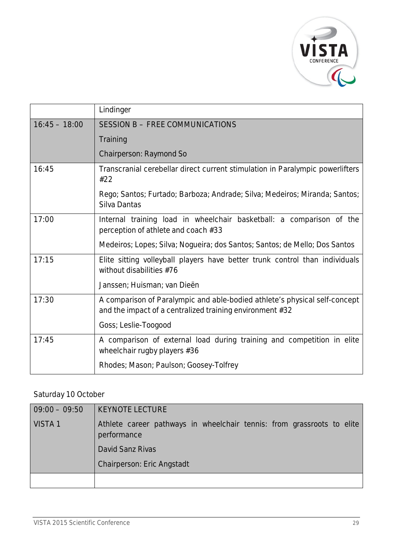

|                 | Lindinger                                                                                                                              |
|-----------------|----------------------------------------------------------------------------------------------------------------------------------------|
| $16:45 - 18:00$ | SESSION B - FREE COMMUNICATIONS                                                                                                        |
|                 | Training                                                                                                                               |
|                 | Chairperson: Raymond So                                                                                                                |
| 16:45           | Transcranial cerebellar direct current stimulation in Paralympic powerlifters<br>#22                                                   |
|                 | Rego; Santos; Furtado; Barboza; Andrade; Silva; Medeiros; Miranda; Santos;<br>Silva Dantas                                             |
| 17:00           | Internal training load in wheelchair basketball: a comparison of the<br>perception of athlete and coach #33                            |
|                 | Medeiros; Lopes; Silva; Nogueira; dos Santos; Santos; de Mello; Dos Santos                                                             |
| 17:15           | Elite sitting volleyball players have better trunk control than individuals<br>without disabilities #76                                |
|                 | Janssen; Huisman; van Dieën                                                                                                            |
| 17:30           | A comparison of Paralympic and able-bodied athlete's physical self-concept<br>and the impact of a centralized training environment #32 |
|                 | Goss; Leslie-Toogood                                                                                                                   |
| 17:45           | A comparison of external load during training and competition in elite<br>wheelchair rugby players #36                                 |
|                 | Rhodes; Mason; Paulson; Goosey-Tolfrey                                                                                                 |

### Saturday 10 October

| $09:00 - 09:50$    | <b>KEYNOTE LECTURE</b>                                                                |
|--------------------|---------------------------------------------------------------------------------------|
| VISTA <sub>1</sub> | Athlete career pathways in wheelchair tennis: from grassroots to elite<br>performance |
|                    | David Sanz Rivas                                                                      |
|                    | <b>Chairperson: Eric Angstadt</b>                                                     |
|                    |                                                                                       |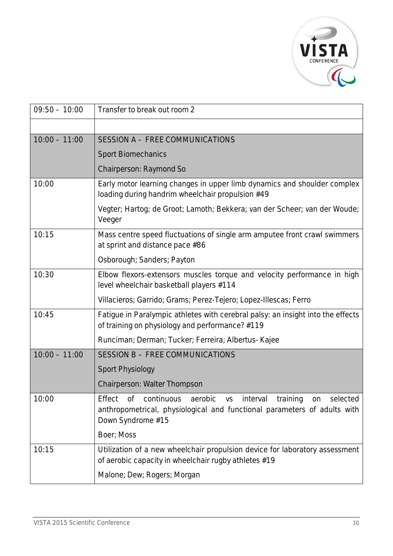

| $09:50 - 10:00$ | Transfer to break out room 2                                                                                                                                   |
|-----------------|----------------------------------------------------------------------------------------------------------------------------------------------------------------|
|                 |                                                                                                                                                                |
| $10:00 - 11:00$ | SESSION A - FREE COMMUNICATIONS                                                                                                                                |
|                 | <b>Sport Biomechanics</b>                                                                                                                                      |
|                 | Chairperson: Raymond So                                                                                                                                        |
| 10:00           | Early motor learning changes in upper limb dynamics and shoulder complex<br>loading during handrim wheelchair propulsion #49                                   |
|                 | Vegter; Hartog; de Groot; Lamoth; Bekkera; van der Scheer; van der Woude;<br>Veeger                                                                            |
| 10:15           | Mass centre speed fluctuations of single arm amputee front crawl swimmers<br>at sprint and distance pace #86                                                   |
|                 | Osborough; Sanders; Payton                                                                                                                                     |
| 10:30           | Elbow flexors-extensors muscles torque and velocity performance in high<br>level wheelchair basketball players #114                                            |
|                 | Villacieros; Garrido; Grams; Perez-Tejero; Lopez-Illescas; Ferro                                                                                               |
| 10:45           | Fatigue in Paralympic athletes with cerebral palsy: an insight into the effects<br>of training on physiology and performance? #119                             |
|                 | Runciman; Derman; Tucker; Ferreira; Albertus- Kajee                                                                                                            |
| $10:00 - 11:00$ | <b>SESSION B - FREE COMMUNICATIONS</b>                                                                                                                         |
|                 | <b>Sport Physiology</b>                                                                                                                                        |
|                 | Chairperson: Walter Thompson                                                                                                                                   |
| 10:00           | Effect of continuous aerobic vs interval training on selected<br>anthropometrical, physiological and functional parameters of adults with<br>Down Syndrome #15 |
|                 | Boer; Moss                                                                                                                                                     |
| 10:15           | Utilization of a new wheelchair propulsion device for laboratory assessment<br>of aerobic capacity in wheelchair rugby athletes #19                            |
|                 | Malone; Dew; Rogers; Morgan                                                                                                                                    |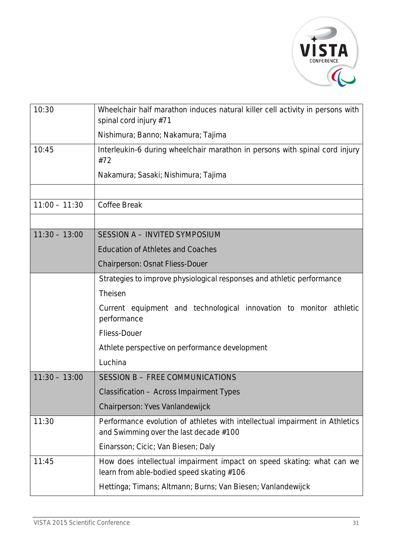

| 10:30           | Wheelchair half marathon induces natural killer cell activity in persons with<br>spinal cord injury #71               |
|-----------------|-----------------------------------------------------------------------------------------------------------------------|
|                 | Nishimura; Banno; Nakamura; Tajima                                                                                    |
| 10:45           | Interleukin-6 during wheelchair marathon in persons with spinal cord injury<br>#72                                    |
|                 | Nakamura; Sasaki; Nishimura; Tajima                                                                                   |
|                 |                                                                                                                       |
| $11:00 - 11:30$ | <b>Coffee Break</b>                                                                                                   |
|                 |                                                                                                                       |
| $11:30 - 13:00$ | SESSION A - INVITED SYMPOSIUM                                                                                         |
|                 | <b>Education of Athletes and Coaches</b>                                                                              |
|                 | Chairperson: Osnat Fliess-Douer                                                                                       |
|                 | Strategies to improve physiological responses and athletic performance                                                |
|                 | Theisen                                                                                                               |
|                 | Current equipment and technological innovation to monitor athletic<br>performance                                     |
|                 | <b>Fliess-Douer</b>                                                                                                   |
|                 | Athlete perspective on performance development                                                                        |
|                 | Luchina                                                                                                               |
| $11:30 - 13:00$ | SESSION B - FREE COMMUNICATIONS                                                                                       |
|                 | <b>Classification - Across Impairment Types</b>                                                                       |
|                 | Chairperson: Yves Vanlandewijck                                                                                       |
| 11:30           | Performance evolution of athletes with intellectual impairment in Athletics<br>and Swimming over the last decade #100 |
|                 | Einarsson; Cicic; Van Biesen; Daly                                                                                    |
| 11:45           | How does intellectual impairment impact on speed skating: what can we<br>learn from able-bodied speed skating #106    |
|                 | Hettinga; Timans; Altmann; Burns; Van Biesen; Vanlandewijck                                                           |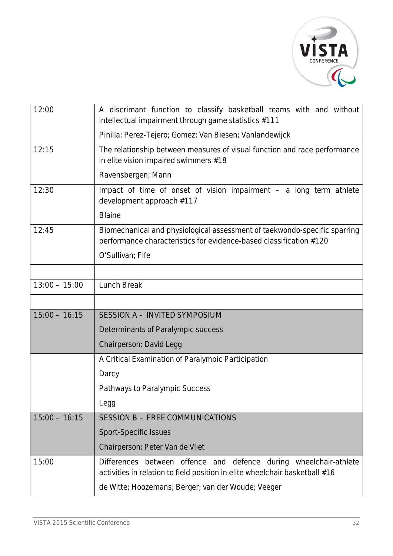

| 12:00           | A discrimant function to classify basketball teams with and without<br>intellectual impairment through game statistics #111                         |
|-----------------|-----------------------------------------------------------------------------------------------------------------------------------------------------|
|                 | Pinilla; Perez-Tejero; Gomez; Van Biesen; Vanlandewijck                                                                                             |
| 12:15           | The relationship between measures of visual function and race performance<br>in elite vision impaired swimmers #18                                  |
|                 | Ravensbergen; Mann                                                                                                                                  |
| 12:30           | Impact of time of onset of vision impairment $-$ a long term athlete<br>development approach #117                                                   |
|                 | <b>Blaine</b>                                                                                                                                       |
| 12:45           | Biomechanical and physiological assessment of taekwondo-specific sparring<br>performance characteristics for evidence-based classification #120     |
|                 | O'Sullivan; Fife                                                                                                                                    |
|                 |                                                                                                                                                     |
| $13:00 - 15:00$ | <b>Lunch Break</b>                                                                                                                                  |
|                 |                                                                                                                                                     |
| $15:00 - 16:15$ | SESSION A - INVITED SYMPOSIUM                                                                                                                       |
|                 | Determinants of Paralympic success                                                                                                                  |
|                 | Chairperson: David Legg                                                                                                                             |
|                 | A Critical Examination of Paralympic Participation                                                                                                  |
|                 | Darcy                                                                                                                                               |
|                 | Pathways to Paralympic Success                                                                                                                      |
|                 | Legg                                                                                                                                                |
| $15:00 - 16:15$ | SESSION B - FREE COMMUNICATIONS                                                                                                                     |
|                 | <b>Sport-Specific Issues</b>                                                                                                                        |
|                 | Chairperson: Peter Van de Vliet                                                                                                                     |
| 15:00           | Differences between offence and defence<br>during wheelchair-athlete<br>activities in relation to field position in elite wheelchair basketball #16 |
|                 | de Witte; Hoozemans; Berger; van der Woude; Veeger                                                                                                  |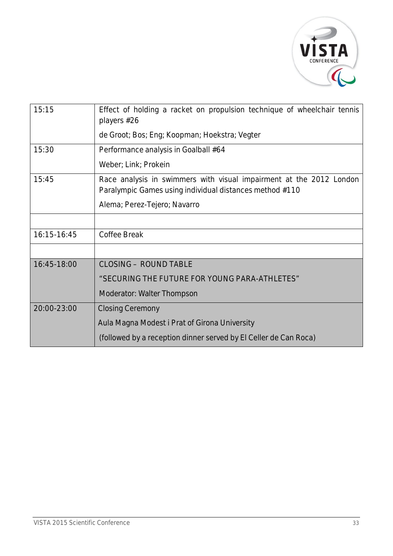

| 15:15       | Effect of holding a racket on propulsion technique of wheelchair tennis<br>players #26                                         |
|-------------|--------------------------------------------------------------------------------------------------------------------------------|
|             | de Groot; Bos; Eng; Koopman; Hoekstra; Vegter                                                                                  |
| 15:30       | Performance analysis in Goalball #64                                                                                           |
|             | Weber; Link; Prokein                                                                                                           |
| 15:45       | Race analysis in swimmers with visual impairment at the 2012 London<br>Paralympic Games using individual distances method #110 |
|             | Alema; Perez-Tejero; Navarro                                                                                                   |
|             |                                                                                                                                |
| 16:15-16:45 | Coffee Break                                                                                                                   |
|             |                                                                                                                                |
| 16:45-18:00 | <b>CLOSING - ROUND TABLE</b>                                                                                                   |
|             | "SECURING THE FUTURE FOR YOUNG PARA-ATHLETES"                                                                                  |
|             | Moderator: Walter Thompson                                                                                                     |
| 20:00-23:00 | <b>Closing Ceremony</b>                                                                                                        |
|             | Aula Magna Modest i Prat of Girona University                                                                                  |
|             | (followed by a reception dinner served by El Celler de Can Roca)                                                               |